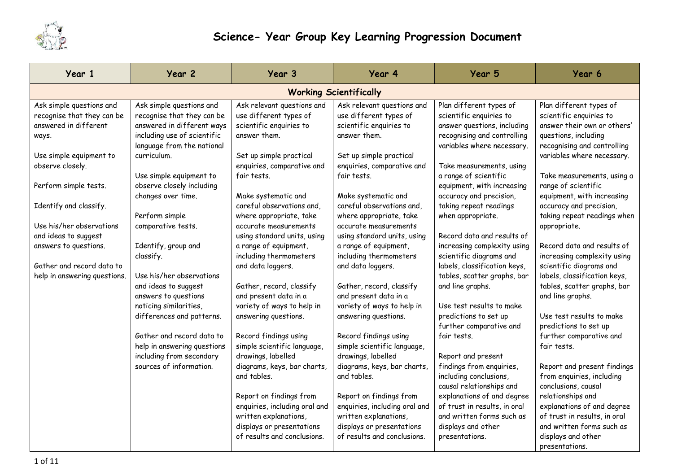

## **Science- Year Group Key Learning Progression Document**

| Year 1                                                                                                                                                                                     | Year 2                                                                                                                                                                                                                                         | Year 3                                                                                                                                                                                                                                                                    | Year 4                                                                                                                                                                                                                                                                    | Year 5                                                                                                                                                                                                                                                                                 | Year 6                                                                                                                                                                                                                                                                               |  |  |  |  |
|--------------------------------------------------------------------------------------------------------------------------------------------------------------------------------------------|------------------------------------------------------------------------------------------------------------------------------------------------------------------------------------------------------------------------------------------------|---------------------------------------------------------------------------------------------------------------------------------------------------------------------------------------------------------------------------------------------------------------------------|---------------------------------------------------------------------------------------------------------------------------------------------------------------------------------------------------------------------------------------------------------------------------|----------------------------------------------------------------------------------------------------------------------------------------------------------------------------------------------------------------------------------------------------------------------------------------|--------------------------------------------------------------------------------------------------------------------------------------------------------------------------------------------------------------------------------------------------------------------------------------|--|--|--|--|
|                                                                                                                                                                                            | <b>Working Scientifically</b>                                                                                                                                                                                                                  |                                                                                                                                                                                                                                                                           |                                                                                                                                                                                                                                                                           |                                                                                                                                                                                                                                                                                        |                                                                                                                                                                                                                                                                                      |  |  |  |  |
| Ask simple questions and<br>recognise that they can be<br>answered in different<br>ways.<br>Use simple equipment to<br>observe closely.<br>Perform simple tests.<br>Identify and classify. | Ask simple questions and<br>recognise that they can be<br>answered in different ways<br>including use of scientific<br>language from the national<br>curriculum.<br>Use simple equipment to<br>observe closely including<br>changes over time. | Ask relevant questions and<br>use different types of<br>scientific enquiries to<br>answer them.<br>Set up simple practical<br>enquiries, comparative and<br>fair tests.<br>Make systematic and<br>careful observations and,                                               | Ask relevant questions and<br>use different types of<br>scientific enquiries to<br>answer them.<br>Set up simple practical<br>enquiries, comparative and<br>fair tests.<br>Make systematic and<br>careful observations and,                                               | Plan different types of<br>scientific enquiries to<br>answer questions, including<br>recognising and controlling<br>variables where necessary.<br>Take measurements, using<br>a range of scientific<br>equipment, with increasing<br>accuracy and precision,<br>taking repeat readings | Plan different types of<br>scientific enquiries to<br>answer their own or others'<br>questions, including<br>recognising and controlling<br>variables where necessary.<br>Take measurements, using a<br>range of scientific<br>equipment, with increasing<br>accuracy and precision, |  |  |  |  |
| Use his/her observations<br>and ideas to suggest<br>answers to questions.                                                                                                                  | Perform simple<br>comparative tests.<br>Identify, group and<br>classify.                                                                                                                                                                       | where appropriate, take<br>accurate measurements<br>using standard units, using<br>a range of equipment,<br>including thermometers                                                                                                                                        | where appropriate, take<br>accurate measurements<br>using standard units, using<br>a range of equipment,<br>including thermometers                                                                                                                                        | when appropriate.<br>Record data and results of<br>increasing complexity using<br>scientific diagrams and                                                                                                                                                                              | taking repeat readings when<br>appropriate.<br>Record data and results of<br>increasing complexity using                                                                                                                                                                             |  |  |  |  |
| Gather and record data to<br>help in answering questions.                                                                                                                                  | Use his/her observations<br>and ideas to suggest<br>answers to questions<br>noticing similarities,<br>differences and patterns.                                                                                                                | and data loggers.<br>Gather, record, classify<br>and present data in a<br>variety of ways to help in<br>answering questions.                                                                                                                                              | and data loggers.<br>Gather, record, classify<br>and present data in a<br>variety of ways to help in<br>answering questions.                                                                                                                                              | labels, classification keys,<br>tables, scatter graphs, bar<br>and line graphs.<br>Use test results to make<br>predictions to set up<br>further comparative and                                                                                                                        | scientific diagrams and<br>labels, classification keys,<br>tables, scatter graphs, bar<br>and line graphs.<br>Use test results to make<br>predictions to set up                                                                                                                      |  |  |  |  |
|                                                                                                                                                                                            | Gather and record data to<br>help in answering questions<br>including from secondary<br>sources of information.                                                                                                                                | Record findings using<br>simple scientific language,<br>drawings, labelled<br>diagrams, keys, bar charts,<br>and tables.<br>Report on findings from<br>enquiries, including oral and<br>written explanations,<br>displays or presentations<br>of results and conclusions. | Record findings using<br>simple scientific language,<br>drawings, labelled<br>diagrams, keys, bar charts,<br>and tables.<br>Report on findings from<br>enquiries, including oral and<br>written explanations,<br>displays or presentations<br>of results and conclusions. | fair tests.<br>Report and present<br>findings from enquiries,<br>including conclusions,<br>causal relationships and<br>explanations of and degree<br>of trust in results, in oral<br>and written forms such as<br>displays and other<br>presentations.                                 | further comparative and<br>fair tests.<br>Report and present findings<br>from enquiries, including<br>conclusions, causal<br>relationships and<br>explanations of and degree<br>of trust in results, in oral<br>and written forms such as<br>displays and other<br>presentations.    |  |  |  |  |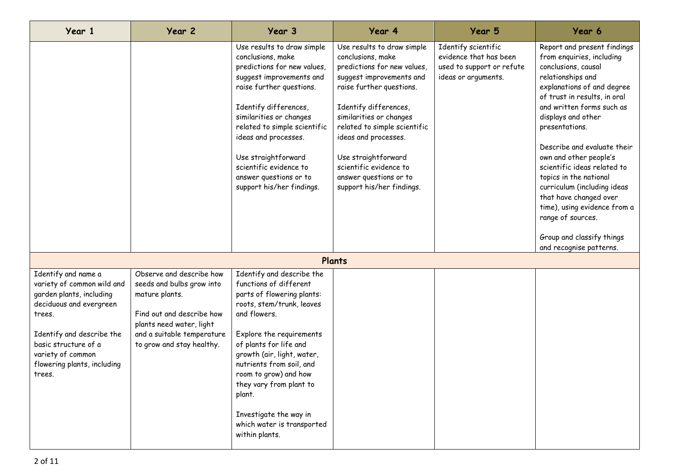| Year 1                                                                                                                                                                                                                                | Year 2                                                                                                                                                                                      | Year 3                                                                                                                                                                                                                                                                                                                                                                                 | Year 4                                                                                                                                                                                                                                                                                                                                                     | Year 5                                                                                            | Year 6                                                                                                                                                                                                                                                                                                                                                                                                                                                                                                                          |
|---------------------------------------------------------------------------------------------------------------------------------------------------------------------------------------------------------------------------------------|---------------------------------------------------------------------------------------------------------------------------------------------------------------------------------------------|----------------------------------------------------------------------------------------------------------------------------------------------------------------------------------------------------------------------------------------------------------------------------------------------------------------------------------------------------------------------------------------|------------------------------------------------------------------------------------------------------------------------------------------------------------------------------------------------------------------------------------------------------------------------------------------------------------------------------------------------------------|---------------------------------------------------------------------------------------------------|---------------------------------------------------------------------------------------------------------------------------------------------------------------------------------------------------------------------------------------------------------------------------------------------------------------------------------------------------------------------------------------------------------------------------------------------------------------------------------------------------------------------------------|
|                                                                                                                                                                                                                                       |                                                                                                                                                                                             | Use results to draw simple<br>conclusions, make<br>predictions for new values,<br>suggest improvements and<br>raise further questions.<br>Identify differences,<br>similarities or changes<br>related to simple scientific<br>ideas and processes.<br>Use straightforward<br>scientific evidence to<br>answer questions or to<br>support his/her findings.                             | Use results to draw simple<br>conclusions, make<br>predictions for new values,<br>suggest improvements and<br>raise further questions.<br>Identify differences,<br>similarities or changes<br>related to simple scientific<br>ideas and processes.<br>Use straightforward<br>scientific evidence to<br>answer questions or to<br>support his/her findings. | Identify scientific<br>evidence that has been<br>used to support or refute<br>ideas or arguments. | Report and present findings<br>from enquiries, including<br>conclusions, causal<br>relationships and<br>explanations of and degree<br>of trust in results, in oral<br>and written forms such as<br>displays and other<br>presentations.<br>Describe and evaluate their<br>own and other people's<br>scientific ideas related to<br>topics in the national<br>curriculum (including ideas<br>that have changed over<br>time), using evidence from a<br>range of sources.<br>Group and classify things<br>and recognise patterns. |
|                                                                                                                                                                                                                                       |                                                                                                                                                                                             |                                                                                                                                                                                                                                                                                                                                                                                        | Plants                                                                                                                                                                                                                                                                                                                                                     |                                                                                                   |                                                                                                                                                                                                                                                                                                                                                                                                                                                                                                                                 |
| Identify and name a<br>variety of common wild and<br>garden plants, including<br>deciduous and evergreen<br>trees.<br>Identify and describe the<br>basic structure of a<br>variety of common<br>flowering plants, including<br>trees. | Observe and describe how<br>seeds and bulbs grow into<br>mature plants.<br>Find out and describe how<br>plants need water, light<br>and a suitable temperature<br>to grow and stay healthy. | Identify and describe the<br>functions of different<br>parts of flowering plants:<br>roots, stem/trunk, leaves<br>and flowers.<br>Explore the requirements<br>of plants for life and<br>growth (air, light, water,<br>nutrients from soil, and<br>room to grow) and how<br>they vary from plant to<br>plant.<br>Investigate the way in<br>which water is transported<br>within plants. |                                                                                                                                                                                                                                                                                                                                                            |                                                                                                   |                                                                                                                                                                                                                                                                                                                                                                                                                                                                                                                                 |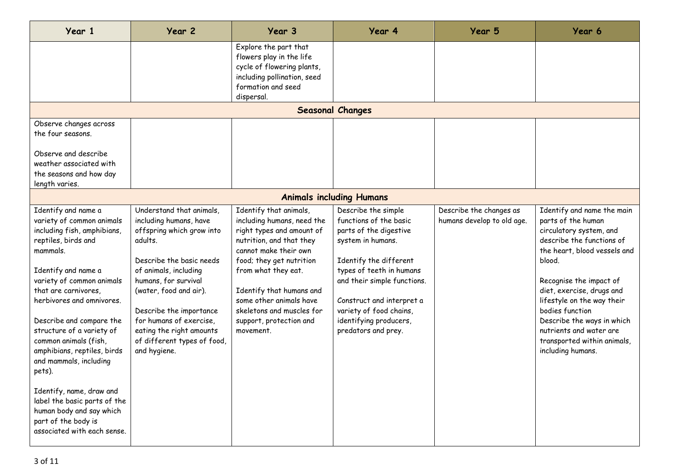| Year 1                                                                                                                                                                                                                                                                                                                                                                                                                                                                                                                         | Year 2                                                                                                                                                                                                                                                                                                                             | Year 3                                                                                                                                                                                                                                                                                                                | Year 4                                                                                                                                                                                                                                                                                     | Year 5                                                | Year 6                                                                                                                                                                                                                                                                                                                                                                   |
|--------------------------------------------------------------------------------------------------------------------------------------------------------------------------------------------------------------------------------------------------------------------------------------------------------------------------------------------------------------------------------------------------------------------------------------------------------------------------------------------------------------------------------|------------------------------------------------------------------------------------------------------------------------------------------------------------------------------------------------------------------------------------------------------------------------------------------------------------------------------------|-----------------------------------------------------------------------------------------------------------------------------------------------------------------------------------------------------------------------------------------------------------------------------------------------------------------------|--------------------------------------------------------------------------------------------------------------------------------------------------------------------------------------------------------------------------------------------------------------------------------------------|-------------------------------------------------------|--------------------------------------------------------------------------------------------------------------------------------------------------------------------------------------------------------------------------------------------------------------------------------------------------------------------------------------------------------------------------|
|                                                                                                                                                                                                                                                                                                                                                                                                                                                                                                                                |                                                                                                                                                                                                                                                                                                                                    | Explore the part that<br>flowers play in the life<br>cycle of flowering plants,<br>including pollination, seed<br>formation and seed<br>dispersal.                                                                                                                                                                    |                                                                                                                                                                                                                                                                                            |                                                       |                                                                                                                                                                                                                                                                                                                                                                          |
|                                                                                                                                                                                                                                                                                                                                                                                                                                                                                                                                |                                                                                                                                                                                                                                                                                                                                    |                                                                                                                                                                                                                                                                                                                       | <b>Seasonal Changes</b>                                                                                                                                                                                                                                                                    |                                                       |                                                                                                                                                                                                                                                                                                                                                                          |
| Observe changes across<br>the four seasons.<br>Observe and describe<br>weather associated with<br>the seasons and how day<br>length varies.                                                                                                                                                                                                                                                                                                                                                                                    |                                                                                                                                                                                                                                                                                                                                    |                                                                                                                                                                                                                                                                                                                       |                                                                                                                                                                                                                                                                                            |                                                       |                                                                                                                                                                                                                                                                                                                                                                          |
|                                                                                                                                                                                                                                                                                                                                                                                                                                                                                                                                |                                                                                                                                                                                                                                                                                                                                    |                                                                                                                                                                                                                                                                                                                       | <b>Animals including Humans</b>                                                                                                                                                                                                                                                            |                                                       |                                                                                                                                                                                                                                                                                                                                                                          |
| Identify and name a<br>variety of common animals<br>including fish, amphibians,<br>reptiles, birds and<br>mammals.<br>Identify and name a<br>variety of common animals<br>that are carnivores,<br>herbivores and omnivores.<br>Describe and compare the<br>structure of a variety of<br>common animals (fish,<br>amphibians, reptiles, birds<br>and mammals, including<br>pets).<br>Identify, name, draw and<br>label the basic parts of the<br>human body and say which<br>part of the body is<br>associated with each sense. | Understand that animals,<br>including humans, have<br>offspring which grow into<br>adults.<br>Describe the basic needs<br>of animals, including<br>humans, for survival<br>(water, food and air).<br>Describe the importance<br>for humans of exercise,<br>eating the right amounts<br>of different types of food,<br>and hygiene. | Identify that animals,<br>including humans, need the<br>right types and amount of<br>nutrition, and that they<br>cannot make their own<br>food; they get nutrition<br>from what they eat.<br>Identify that humans and<br>some other animals have<br>skeletons and muscles for<br>support, protection and<br>movement. | Describe the simple<br>functions of the basic<br>parts of the digestive<br>system in humans.<br>Identify the different<br>types of teeth in humans<br>and their simple functions.<br>Construct and interpret a<br>variety of food chains,<br>identifying producers,<br>predators and prey. | Describe the changes as<br>humans develop to old age. | Identify and name the main<br>parts of the human<br>circulatory system, and<br>describe the functions of<br>the heart, blood vessels and<br>blood.<br>Recognise the impact of<br>diet, exercise, drugs and<br>lifestyle on the way their<br>bodies function<br>Describe the ways in which<br>nutrients and water are<br>transported within animals,<br>including humans. |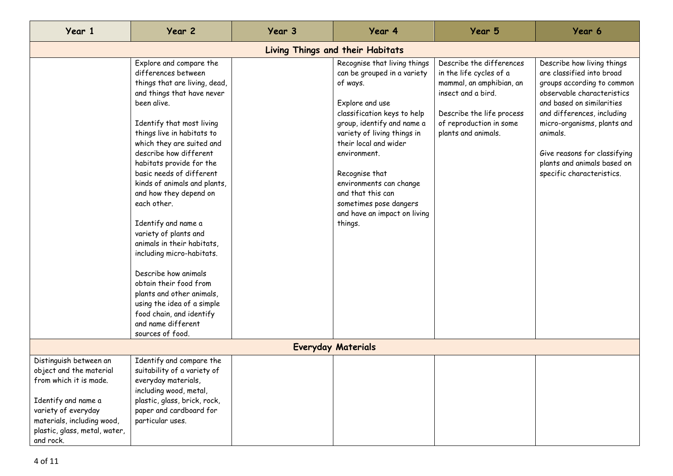| Year 1                                                                                                                                                                                                | Year 2                                                                                                                                                                                                                                                                                                                                                                                                                                                                                                                                                                                                                                                                        | Year 3 | Year 4                                                                                                                                                                                                                                                                                                                                                                 | Year 5                                                                                                                                                                               | Year 6                                                                                                                                                                                                                                                                                                                |  |  |
|-------------------------------------------------------------------------------------------------------------------------------------------------------------------------------------------------------|-------------------------------------------------------------------------------------------------------------------------------------------------------------------------------------------------------------------------------------------------------------------------------------------------------------------------------------------------------------------------------------------------------------------------------------------------------------------------------------------------------------------------------------------------------------------------------------------------------------------------------------------------------------------------------|--------|------------------------------------------------------------------------------------------------------------------------------------------------------------------------------------------------------------------------------------------------------------------------------------------------------------------------------------------------------------------------|--------------------------------------------------------------------------------------------------------------------------------------------------------------------------------------|-----------------------------------------------------------------------------------------------------------------------------------------------------------------------------------------------------------------------------------------------------------------------------------------------------------------------|--|--|
| Living Things and their Habitats                                                                                                                                                                      |                                                                                                                                                                                                                                                                                                                                                                                                                                                                                                                                                                                                                                                                               |        |                                                                                                                                                                                                                                                                                                                                                                        |                                                                                                                                                                                      |                                                                                                                                                                                                                                                                                                                       |  |  |
|                                                                                                                                                                                                       | Explore and compare the<br>differences between<br>things that are living, dead,<br>and things that have never<br>been alive.<br>Identify that most living<br>things live in habitats to<br>which they are suited and<br>describe how different<br>habitats provide for the<br>basic needs of different<br>kinds of animals and plants,<br>and how they depend on<br>each other.<br>Identify and name a<br>variety of plants and<br>animals in their habitats,<br>including micro-habitats.<br>Describe how animals<br>obtain their food from<br>plants and other animals,<br>using the idea of a simple<br>food chain, and identify<br>and name different<br>sources of food. |        | Recognise that living things<br>can be grouped in a variety<br>of ways.<br>Explore and use<br>classification keys to help<br>group, identify and name a<br>variety of living things in<br>their local and wider<br>environment.<br>Recognise that<br>environments can change<br>and that this can<br>sometimes pose dangers<br>and have an impact on living<br>things. | Describe the differences<br>in the life cycles of a<br>mammal, an amphibian, an<br>insect and a bird.<br>Describe the life process<br>of reproduction in some<br>plants and animals. | Describe how living things<br>are classified into broad<br>groups according to common<br>observable characteristics<br>and based on similarities<br>and differences, including<br>micro-organisms, plants and<br>animals.<br>Give reasons for classifying<br>plants and animals based on<br>specific characteristics. |  |  |
|                                                                                                                                                                                                       |                                                                                                                                                                                                                                                                                                                                                                                                                                                                                                                                                                                                                                                                               |        | <b>Everyday Materials</b>                                                                                                                                                                                                                                                                                                                                              |                                                                                                                                                                                      |                                                                                                                                                                                                                                                                                                                       |  |  |
| Distinguish between an<br>object and the material<br>from which it is made.<br>Identify and name a<br>variety of everyday<br>materials, including wood,<br>plastic, glass, metal, water,<br>and rock. | Identify and compare the<br>suitability of a variety of<br>everyday materials,<br>including wood, metal,<br>plastic, glass, brick, rock,<br>paper and cardboard for<br>particular uses.                                                                                                                                                                                                                                                                                                                                                                                                                                                                                       |        |                                                                                                                                                                                                                                                                                                                                                                        |                                                                                                                                                                                      |                                                                                                                                                                                                                                                                                                                       |  |  |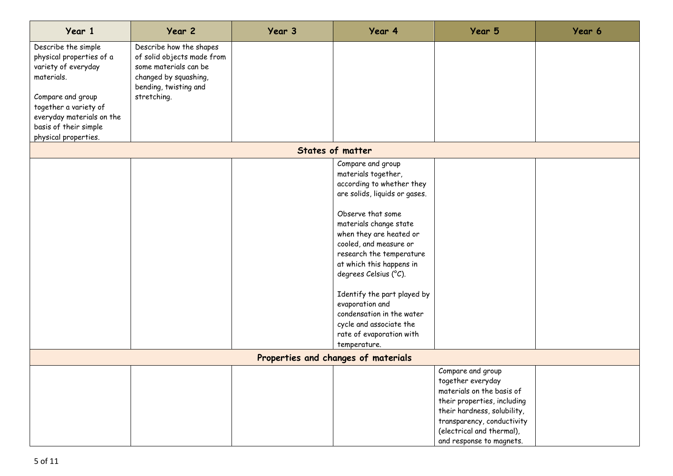| Year 1                                                                                                    | Year 2                                                                                                                                          | Year 3 | Year 4                                                                                                                                                                                                                                                                                                                                                                                                                                            | Year 5                                                                                                                                                                                                                   | Year 6 |  |  |
|-----------------------------------------------------------------------------------------------------------|-------------------------------------------------------------------------------------------------------------------------------------------------|--------|---------------------------------------------------------------------------------------------------------------------------------------------------------------------------------------------------------------------------------------------------------------------------------------------------------------------------------------------------------------------------------------------------------------------------------------------------|--------------------------------------------------------------------------------------------------------------------------------------------------------------------------------------------------------------------------|--------|--|--|
| Describe the simple<br>physical properties of a<br>variety of everyday<br>materials.<br>Compare and group | Describe how the shapes<br>of solid objects made from<br>some materials can be<br>changed by squashing,<br>bending, twisting and<br>stretching. |        |                                                                                                                                                                                                                                                                                                                                                                                                                                                   |                                                                                                                                                                                                                          |        |  |  |
| together a variety of<br>everyday materials on the<br>basis of their simple<br>physical properties.       |                                                                                                                                                 |        |                                                                                                                                                                                                                                                                                                                                                                                                                                                   |                                                                                                                                                                                                                          |        |  |  |
|                                                                                                           |                                                                                                                                                 |        | States of matter                                                                                                                                                                                                                                                                                                                                                                                                                                  |                                                                                                                                                                                                                          |        |  |  |
|                                                                                                           |                                                                                                                                                 |        | Compare and group<br>materials together,<br>according to whether they<br>are solids, liquids or gases.<br>Observe that some<br>materials change state<br>when they are heated or<br>cooled, and measure or<br>research the temperature<br>at which this happens in<br>degrees Celsius (°C).<br>Identify the part played by<br>evaporation and<br>condensation in the water<br>cycle and associate the<br>rate of evaporation with<br>temperature. |                                                                                                                                                                                                                          |        |  |  |
| Properties and changes of materials                                                                       |                                                                                                                                                 |        |                                                                                                                                                                                                                                                                                                                                                                                                                                                   |                                                                                                                                                                                                                          |        |  |  |
|                                                                                                           |                                                                                                                                                 |        |                                                                                                                                                                                                                                                                                                                                                                                                                                                   | Compare and group<br>together everyday<br>materials on the basis of<br>their properties, including<br>their hardness, solubility,<br>transparency, conductivity<br>(electrical and thermal),<br>and response to magnets. |        |  |  |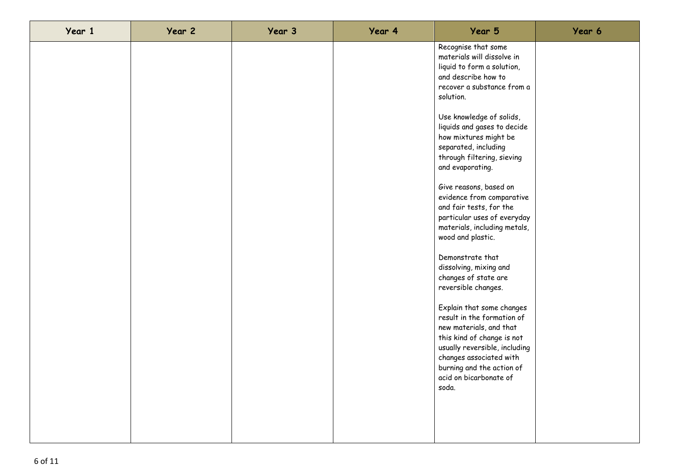| Year 1 | Year 2 | Year 3 | Year 4 | Year 5                                                                                                                                                                                                                                       | Year 6 |
|--------|--------|--------|--------|----------------------------------------------------------------------------------------------------------------------------------------------------------------------------------------------------------------------------------------------|--------|
|        |        |        |        | Recognise that some<br>materials will dissolve in<br>liquid to form a solution,<br>and describe how to<br>recover a substance from a<br>solution.                                                                                            |        |
|        |        |        |        | Use knowledge of solids,<br>liquids and gases to decide<br>how mixtures might be<br>separated, including<br>through filtering, sieving<br>and evaporating.                                                                                   |        |
|        |        |        |        | Give reasons, based on<br>evidence from comparative<br>and fair tests, for the<br>particular uses of everyday<br>materials, including metals,<br>wood and plastic.                                                                           |        |
|        |        |        |        | Demonstrate that<br>dissolving, mixing and<br>changes of state are<br>reversible changes.                                                                                                                                                    |        |
|        |        |        |        | Explain that some changes<br>result in the formation of<br>new materials, and that<br>this kind of change is not<br>usually reversible, including<br>changes associated with<br>burning and the action of<br>acid on bicarbonate of<br>soda. |        |
|        |        |        |        |                                                                                                                                                                                                                                              |        |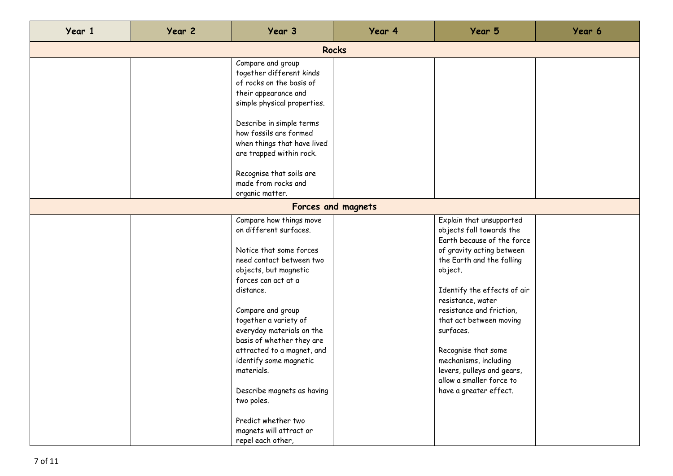| Year 1 | Year 2       | Year 3                                                                                                                                                                                                                                                                                                                  | Year 4             | Year 5                                                                                                                                                                     | Year 6 |  |  |  |
|--------|--------------|-------------------------------------------------------------------------------------------------------------------------------------------------------------------------------------------------------------------------------------------------------------------------------------------------------------------------|--------------------|----------------------------------------------------------------------------------------------------------------------------------------------------------------------------|--------|--|--|--|
|        | <b>Rocks</b> |                                                                                                                                                                                                                                                                                                                         |                    |                                                                                                                                                                            |        |  |  |  |
|        |              | Compare and group<br>together different kinds<br>of rocks on the basis of<br>their appearance and<br>simple physical properties.<br>Describe in simple terms<br>how fossils are formed<br>when things that have lived<br>are trapped within rock.<br>Recognise that soils are<br>made from rocks and<br>organic matter. |                    |                                                                                                                                                                            |        |  |  |  |
|        |              |                                                                                                                                                                                                                                                                                                                         | Forces and magnets |                                                                                                                                                                            |        |  |  |  |
|        |              | Compare how things move<br>on different surfaces.<br>Notice that some forces                                                                                                                                                                                                                                            |                    | Explain that unsupported<br>objects fall towards the<br>Earth because of the force<br>of gravity acting between                                                            |        |  |  |  |
|        |              | need contact between two<br>objects, but magnetic<br>forces can act at a<br>distance.                                                                                                                                                                                                                                   |                    | the Earth and the falling<br>object.<br>Identify the effects of air<br>resistance, water                                                                                   |        |  |  |  |
|        |              | Compare and group<br>together a variety of<br>everyday materials on the<br>basis of whether they are<br>attracted to a magnet, and<br>identify some magnetic<br>materials.                                                                                                                                              |                    | resistance and friction,<br>that act between moving<br>surfaces.<br>Recognise that some<br>mechanisms, including<br>levers, pulleys and gears,<br>allow a smaller force to |        |  |  |  |
|        |              | Describe magnets as having<br>two poles.<br>Predict whether two<br>magnets will attract or<br>repel each other,                                                                                                                                                                                                         |                    | have a greater effect.                                                                                                                                                     |        |  |  |  |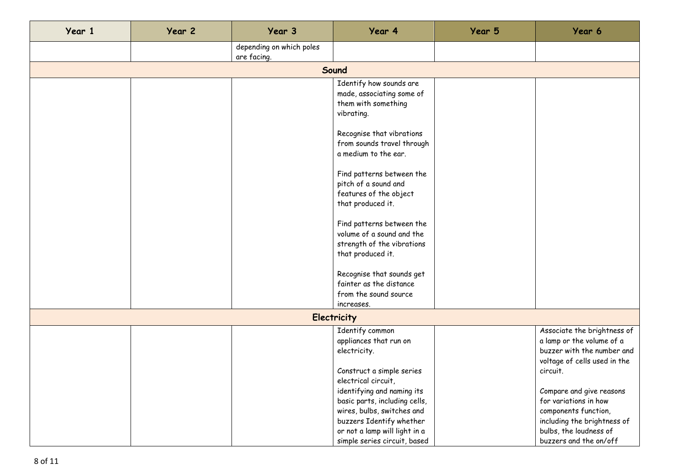| Year 1 | Year 2 | Year 3                                  | Year 4                                                                                                    | Year 5 | Year 6                                                                                                                 |  |  |  |
|--------|--------|-----------------------------------------|-----------------------------------------------------------------------------------------------------------|--------|------------------------------------------------------------------------------------------------------------------------|--|--|--|
|        |        | depending on which poles<br>are facing. |                                                                                                           |        |                                                                                                                        |  |  |  |
|        | Sound  |                                         |                                                                                                           |        |                                                                                                                        |  |  |  |
|        |        |                                         | Identify how sounds are<br>made, associating some of<br>them with something<br>vibrating.                 |        |                                                                                                                        |  |  |  |
|        |        |                                         | Recognise that vibrations<br>from sounds travel through<br>a medium to the ear.                           |        |                                                                                                                        |  |  |  |
|        |        |                                         | Find patterns between the<br>pitch of a sound and<br>features of the object<br>that produced it.          |        |                                                                                                                        |  |  |  |
|        |        |                                         | Find patterns between the<br>volume of a sound and the<br>strength of the vibrations<br>that produced it. |        |                                                                                                                        |  |  |  |
|        |        |                                         | Recognise that sounds get<br>fainter as the distance<br>from the sound source<br>increases.               |        |                                                                                                                        |  |  |  |
|        |        |                                         | <b>Electricity</b>                                                                                        |        |                                                                                                                        |  |  |  |
|        |        |                                         | Identify common<br>appliances that run on<br>electricity.                                                 |        | Associate the brightness of<br>a lamp or the volume of a<br>buzzer with the number and<br>voltage of cells used in the |  |  |  |
|        |        |                                         | Construct a simple series<br>electrical circuit,<br>identifying and naming its                            |        | circuit.<br>Compare and give reasons                                                                                   |  |  |  |
|        |        |                                         | basic parts, including cells,<br>wires, bulbs, switches and<br>buzzers Identify whether                   |        | for variations in how<br>components function,<br>including the brightness of                                           |  |  |  |
|        |        |                                         | or not a lamp will light in a<br>simple series circuit, based                                             |        | bulbs, the loudness of<br>buzzers and the on/off                                                                       |  |  |  |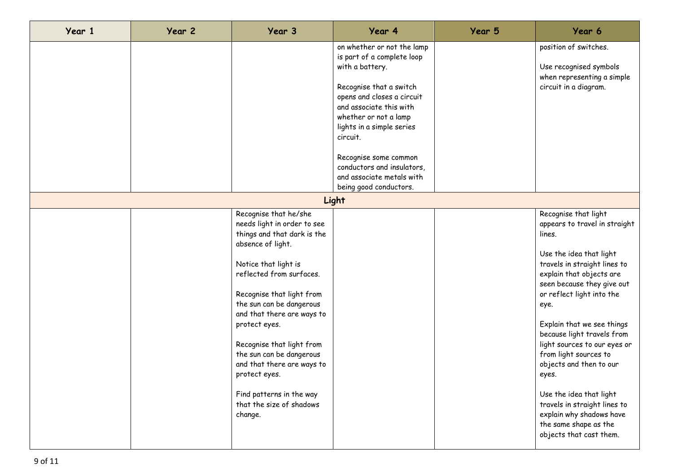| Year 1 | Year 2 | Year 3                                                                                                                                                                                                                                                                                                                                                                                                                                          | Year 4                                                                                                                                                                                                                                                                                                                | Year 5 | Year 6                                                                                                                                                                                                                                                                                                                                                                                                                                                                                                                        |
|--------|--------|-------------------------------------------------------------------------------------------------------------------------------------------------------------------------------------------------------------------------------------------------------------------------------------------------------------------------------------------------------------------------------------------------------------------------------------------------|-----------------------------------------------------------------------------------------------------------------------------------------------------------------------------------------------------------------------------------------------------------------------------------------------------------------------|--------|-------------------------------------------------------------------------------------------------------------------------------------------------------------------------------------------------------------------------------------------------------------------------------------------------------------------------------------------------------------------------------------------------------------------------------------------------------------------------------------------------------------------------------|
|        |        |                                                                                                                                                                                                                                                                                                                                                                                                                                                 | on whether or not the lamp<br>is part of a complete loop<br>with a battery.<br>Recognise that a switch<br>opens and closes a circuit<br>and associate this with<br>whether or not a lamp<br>lights in a simple series<br>circuit.<br>Recognise some common<br>conductors and insulators,<br>and associate metals with |        | position of switches.<br>Use recognised symbols<br>when representing a simple<br>circuit in a diagram.                                                                                                                                                                                                                                                                                                                                                                                                                        |
|        |        |                                                                                                                                                                                                                                                                                                                                                                                                                                                 | being good conductors.<br>Light                                                                                                                                                                                                                                                                                       |        |                                                                                                                                                                                                                                                                                                                                                                                                                                                                                                                               |
|        |        | Recognise that he/she<br>needs light in order to see<br>things and that dark is the<br>absence of light.<br>Notice that light is<br>reflected from surfaces.<br>Recognise that light from<br>the sun can be dangerous<br>and that there are ways to<br>protect eyes.<br>Recognise that light from<br>the sun can be dangerous<br>and that there are ways to<br>protect eyes.<br>Find patterns in the way<br>that the size of shadows<br>change. |                                                                                                                                                                                                                                                                                                                       |        | Recognise that light<br>appears to travel in straight<br>lines.<br>Use the idea that light<br>travels in straight lines to<br>explain that objects are<br>seen because they give out<br>or reflect light into the<br>eye.<br>Explain that we see things<br>because light travels from<br>light sources to our eyes or<br>from light sources to<br>objects and then to our<br>eyes.<br>Use the idea that light<br>travels in straight lines to<br>explain why shadows have<br>the same shape as the<br>objects that cast them. |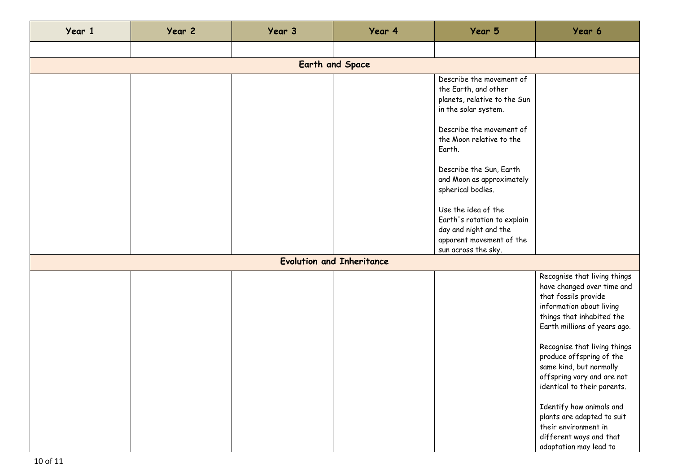| Year 1 | Year 2 | Year 3 | Year 4                           | Year 5                                                                                                                                                                                                                                                                                                                                                             | Year 6                                                                                                                                                                                                                                                                                                                                                                                                                                                                 |
|--------|--------|--------|----------------------------------|--------------------------------------------------------------------------------------------------------------------------------------------------------------------------------------------------------------------------------------------------------------------------------------------------------------------------------------------------------------------|------------------------------------------------------------------------------------------------------------------------------------------------------------------------------------------------------------------------------------------------------------------------------------------------------------------------------------------------------------------------------------------------------------------------------------------------------------------------|
|        |        |        |                                  |                                                                                                                                                                                                                                                                                                                                                                    |                                                                                                                                                                                                                                                                                                                                                                                                                                                                        |
|        |        |        | <b>Earth and Space</b>           |                                                                                                                                                                                                                                                                                                                                                                    |                                                                                                                                                                                                                                                                                                                                                                                                                                                                        |
|        |        |        |                                  | Describe the movement of<br>the Earth, and other<br>planets, relative to the Sun<br>in the solar system.<br>Describe the movement of<br>the Moon relative to the<br>Earth.<br>Describe the Sun, Earth<br>and Moon as approximately<br>spherical bodies.<br>Use the idea of the<br>Earth's rotation to explain<br>day and night and the<br>apparent movement of the |                                                                                                                                                                                                                                                                                                                                                                                                                                                                        |
|        |        |        | <b>Evolution and Inheritance</b> | sun across the sky.                                                                                                                                                                                                                                                                                                                                                |                                                                                                                                                                                                                                                                                                                                                                                                                                                                        |
|        |        |        |                                  |                                                                                                                                                                                                                                                                                                                                                                    | Recognise that living things<br>have changed over time and<br>that fossils provide<br>information about living<br>things that inhabited the<br>Earth millions of years ago.<br>Recognise that living things<br>produce offspring of the<br>same kind, but normally<br>offspring vary and are not<br>identical to their parents.<br>Identify how animals and<br>plants are adapted to suit<br>their environment in<br>different ways and that<br>adaptation may lead to |